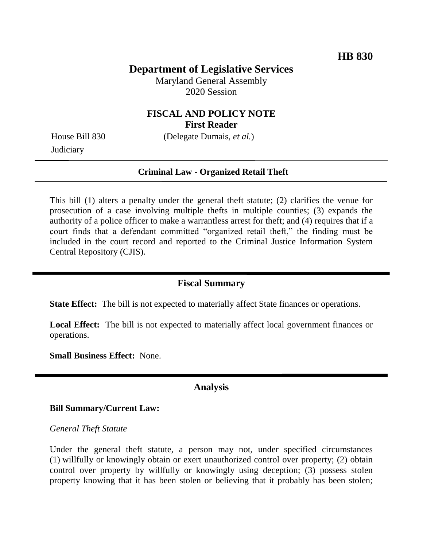# **Department of Legislative Services**

Maryland General Assembly 2020 Session

## **FISCAL AND POLICY NOTE First Reader**

**Judiciary** 

House Bill 830 (Delegate Dumais, *et al.*)

### **Criminal Law - Organized Retail Theft**

This bill (1) alters a penalty under the general theft statute; (2) clarifies the venue for prosecution of a case involving multiple thefts in multiple counties; (3) expands the authority of a police officer to make a warrantless arrest for theft; and (4) requires that if a court finds that a defendant committed "organized retail theft," the finding must be included in the court record and reported to the Criminal Justice Information System Central Repository (CJIS).

## **Fiscal Summary**

**State Effect:** The bill is not expected to materially affect State finances or operations.

**Local Effect:** The bill is not expected to materially affect local government finances or operations.

**Small Business Effect:** None.

### **Analysis**

### **Bill Summary/Current Law:**

#### *General Theft Statute*

Under the general theft statute, a person may not, under specified circumstances (1) willfully or knowingly obtain or exert unauthorized control over property; (2) obtain control over property by willfully or knowingly using deception; (3) possess stolen property knowing that it has been stolen or believing that it probably has been stolen;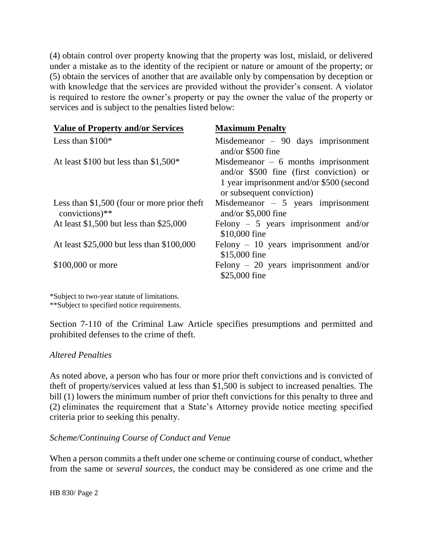(4) obtain control over property knowing that the property was lost, mislaid, or delivered under a mistake as to the identity of the recipient or nature or amount of the property; or (5) obtain the services of another that are available only by compensation by deception or with knowledge that the services are provided without the provider's consent. A violator is required to restore the owner's property or pay the owner the value of the property or services and is subject to the penalties listed below:

| <b>Value of Property and/or Services</b>                       | <b>Maximum Penalty</b>                                                                                                                                   |
|----------------------------------------------------------------|----------------------------------------------------------------------------------------------------------------------------------------------------------|
| Less than $$100*$                                              | Misdemeanor $-90$ days imprisonment<br>and/or \$500 fine                                                                                                 |
| At least \$100 but less than $$1,500*$                         | Misdemeanor $-6$ months imprisonment<br>and/or \$500 fine (first conviction) or<br>1 year imprisonment and/or \$500 (second<br>or subsequent conviction) |
| Less than $$1,500$ (four or more prior theft<br>convictions)** | Misdemeanor $-5$ years imprisonment<br>and/or $$5,000$ fine                                                                                              |
| At least \$1,500 but less than \$25,000                        | Felony $-5$ years imprisonment and/or<br>\$10,000 fine                                                                                                   |
| At least \$25,000 but less than \$100,000                      | Felony $-10$ years imprisonment and/or<br>\$15,000 fine                                                                                                  |
| \$100,000 or more                                              | Felony $-20$ years imprisonment and/or<br>\$25,000 fine                                                                                                  |

\*Subject to two-year statute of limitations. \*\*Subject to specified notice requirements.

Section 7-110 of the Criminal Law Article specifies presumptions and permitted and prohibited defenses to the crime of theft.

### *Altered Penalties*

As noted above, a person who has four or more prior theft convictions and is convicted of theft of property/services valued at less than \$1,500 is subject to increased penalties. The bill (1) lowers the minimum number of prior theft convictions for this penalty to three and (2) eliminates the requirement that a State's Attorney provide notice meeting specified criteria prior to seeking this penalty.

*Scheme/Continuing Course of Conduct and Venue*

When a person commits a theft under one scheme or continuing course of conduct, whether from the same or *several sources,* the conduct may be considered as one crime and the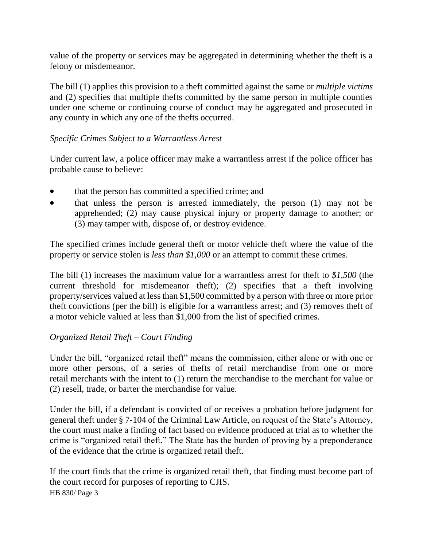value of the property or services may be aggregated in determining whether the theft is a felony or misdemeanor.

The bill (1) applies this provision to a theft committed against the same or *multiple victims* and (2) specifies that multiple thefts committed by the same person in multiple counties under one scheme or continuing course of conduct may be aggregated and prosecuted in any county in which any one of the thefts occurred.

## *Specific Crimes Subject to a Warrantless Arrest*

Under current law, a police officer may make a warrantless arrest if the police officer has probable cause to believe:

- that the person has committed a specified crime; and
- that unless the person is arrested immediately, the person (1) may not be apprehended; (2) may cause physical injury or property damage to another; or (3) may tamper with, dispose of, or destroy evidence.

The specified crimes include general theft or motor vehicle theft where the value of the property or service stolen is *less than \$1,000* or an attempt to commit these crimes.

The bill (1) increases the maximum value for a warrantless arrest for theft to *\$1,500* (the current threshold for misdemeanor theft); (2) specifies that a theft involving property/services valued at less than \$1,500 committed by a person with three or more prior theft convictions (per the bill) is eligible for a warrantless arrest; and (3) removes theft of a motor vehicle valued at less than \$1,000 from the list of specified crimes.

## *Organized Retail Theft – Court Finding*

Under the bill, "organized retail theft" means the commission, either alone or with one or more other persons, of a series of thefts of retail merchandise from one or more retail merchants with the intent to (1) return the merchandise to the merchant for value or (2) resell, trade, or barter the merchandise for value.

Under the bill, if a defendant is convicted of or receives a probation before judgment for general theft under § 7-104 of the Criminal Law Article, on request of the State's Attorney, the court must make a finding of fact based on evidence produced at trial as to whether the crime is "organized retail theft." The State has the burden of proving by a preponderance of the evidence that the crime is organized retail theft.

HB 830/ Page 3 If the court finds that the crime is organized retail theft, that finding must become part of the court record for purposes of reporting to CJIS.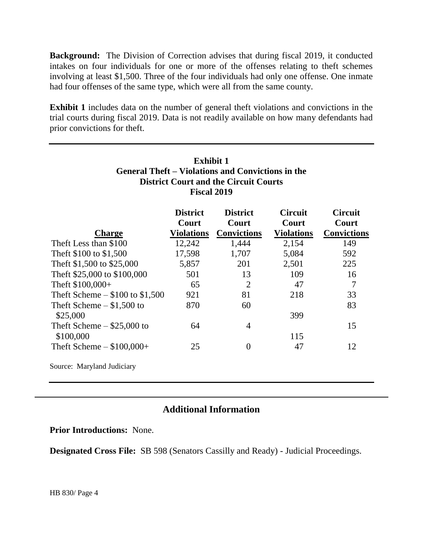**Background:** The Division of Correction advises that during fiscal 2019, it conducted intakes on four individuals for one or more of the offenses relating to theft schemes involving at least \$1,500. Three of the four individuals had only one offense. One inmate had four offenses of the same type, which were all from the same county.

**Exhibit 1** includes data on the number of general theft violations and convictions in the trial courts during fiscal 2019. Data is not readily available on how many defendants had prior convictions for theft.

| <b>Exhibit 1</b><br><b>General Theft – Violations and Convictions in the</b><br><b>District Court and the Circuit Courts</b><br><b>Fiscal 2019</b> |                          |                          |                         |                         |  |
|----------------------------------------------------------------------------------------------------------------------------------------------------|--------------------------|--------------------------|-------------------------|-------------------------|--|
|                                                                                                                                                    | <b>District</b><br>Court | <b>District</b><br>Court | <b>Circuit</b><br>Court | <b>Circuit</b><br>Court |  |
| <b>Charge</b>                                                                                                                                      | <b>Violations</b>        | <b>Convictions</b>       | <b>Violations</b>       | <b>Convictions</b>      |  |
| Theft Less than \$100                                                                                                                              | 12,242                   | 1,444                    | 2,154                   | 149                     |  |
| Theft \$100 to \$1,500                                                                                                                             | 17,598                   | 1,707                    | 5,084                   | 592                     |  |
| Theft \$1,500 to \$25,000                                                                                                                          | 5,857                    | 201                      | 2,501                   | 225                     |  |
| Theft \$25,000 to \$100,000                                                                                                                        | 501                      | 13                       | 109                     | 16                      |  |
| Theft $$100,000+$                                                                                                                                  | 65                       | $\overline{2}$           | 47                      | 7                       |  |
| Theft Scheme $-$ \$100 to \$1,500                                                                                                                  | 921                      | 81                       | 218                     | 33                      |  |
| Theft Scheme $-$ \$1,500 to                                                                                                                        | 870                      | 60                       |                         | 83                      |  |
| \$25,000                                                                                                                                           |                          |                          | 399                     |                         |  |
| Theft Scheme $-$ \$25,000 to                                                                                                                       | 64                       | 4                        |                         | 15                      |  |
| \$100,000                                                                                                                                          |                          |                          | 115                     |                         |  |
| Theft Scheme $-$ \$100,000+                                                                                                                        | 25                       | $\theta$                 | 47                      | 12                      |  |
| Source: Maryland Judiciary                                                                                                                         |                          |                          |                         |                         |  |

# **Additional Information**

**Prior Introductions:** None.

**Designated Cross File:** SB 598 (Senators Cassilly and Ready) - Judicial Proceedings.